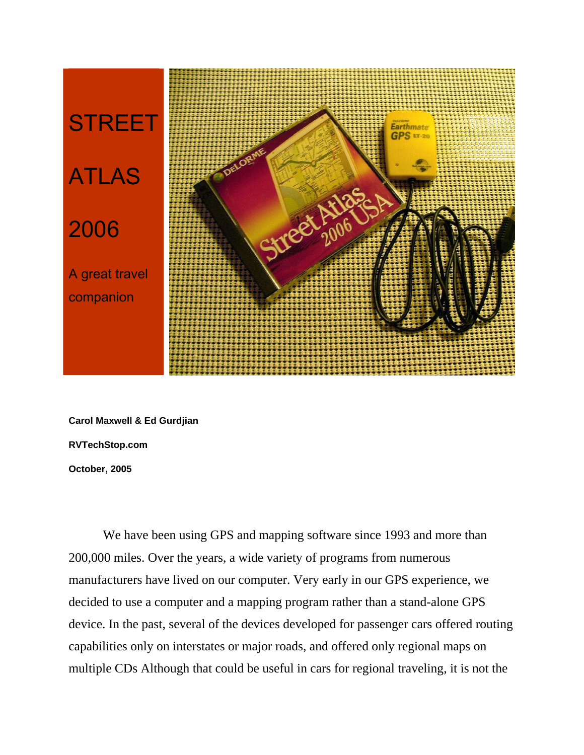

**Carol Maxwell & Ed Gurdjian RVTechStop.com October, 2005**

We have been using GPS and mapping software since 1993 and more than 200,000 miles. Over the years, a wide variety of programs from numerous manufacturers have lived on our computer. Very early in our GPS experience, we decided to use a computer and a mapping program rather than a stand-alone GPS device. In the past, several of the devices developed for passenger cars offered routing capabilities only on interstates or major roads, and offered only regional maps on multiple CDs Although that could be useful in cars for regional traveling, it is not the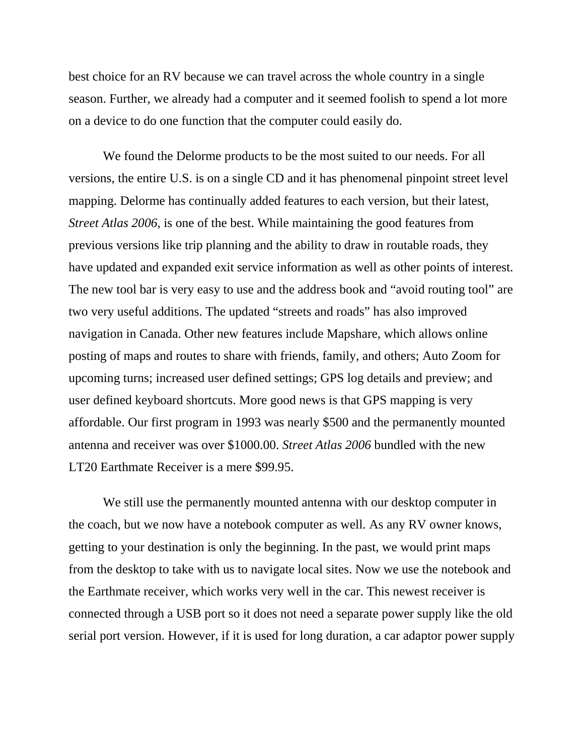best choice for an RV because we can travel across the whole country in a single season. Further, we already had a computer and it seemed foolish to spend a lot more on a device to do one function that the computer could easily do.

We found the Delorme products to be the most suited to our needs. For all versions, the entire U.S. is on a single CD and it has phenomenal pinpoint street level mapping. Delorme has continually added features to each version, but their latest, *Street Atlas 2006,* is one of the best. While maintaining the good features from previous versions like trip planning and the ability to draw in routable roads, they have updated and expanded exit service information as well as other points of interest. The new tool bar is very easy to use and the address book and "avoid routing tool" are two very useful additions. The updated "streets and roads" has also improved navigation in Canada. Other new features include Mapshare, which allows online posting of maps and routes to share with friends, family, and others; Auto Zoom for upcoming turns; increased user defined settings; GPS log details and preview; and user defined keyboard shortcuts. More good news is that GPS mapping is very affordable. Our first program in 1993 was nearly \$500 and the permanently mounted antenna and receiver was over \$1000.00. *Street Atlas 2006* bundled with the new LT20 Earthmate Receiver is a mere \$99.95.

We still use the permanently mounted antenna with our desktop computer in the coach, but we now have a notebook computer as well. As any RV owner knows, getting to your destination is only the beginning. In the past, we would print maps from the desktop to take with us to navigate local sites. Now we use the notebook and the Earthmate receiver, which works very well in the car. This newest receiver is connected through a USB port so it does not need a separate power supply like the old serial port version. However, if it is used for long duration, a car adaptor power supply